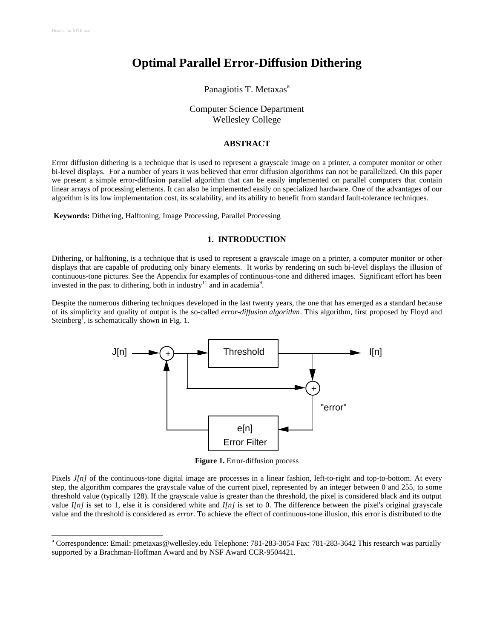l

# **Optimal Parallel Error-Diffusion Dithering**

# Panagiotis T. Metaxas<sup>a</sup>

# Computer Science Department Wellesley College

#### **ABSTRACT**

Error diffusion dithering is a technique that is used to represent a grayscale image on a printer, a computer monitor or other bi-level displays. For a number of years it was believed that error diffusion algorithms can not be parallelized. On this paper we present a simple error-diffusion parallel algorithm that can be easily implemented on parallel computers that contain linear arrays of processing elements. It can also be implemented easily on specialized hardware. One of the advantages of our algorithm is its low implementation cost, its scalability, and its ability to benefit from standard fault-tolerance techniques.

**Keywords:** Dithering, Halftoning, Image Processing, Parallel Processing

# **1. INTRODUCTION**

Dithering, or halftoning, is a technique that is used to represent a grayscale image on a printer, a computer monitor or other displays that are capable of producing only binary elements. It works by rendering on such bi-level displays the illusion of continuous-tone pictures. See the Appendix for examples of continuous-tone and dithered images. Significant effort has been invested in the past to dithering, both in industry<sup>11</sup> and in academia<sup>9</sup>.

Despite the numerous dithering techniques developed in the last twenty years, the one that has emerged as a standard because of its simplicity and quality of output is the so-called *error-diffusion algorithm*. This algorithm, first proposed by Floyd and Steinberg<sup>1</sup>, is schematically shown in Fig. 1.



**Figure 1.** Error-diffusion process

Pixels *J[n]* of the continuous-tone digital image are processes in a linear fashion, left-to-right and top-to-bottom. At every step, the algorithm compares the grayscale value of the current pixel, represented by an integer between 0 and 255, to some threshold value (typically 128). If the grayscale value is greater than the threshold, the pixel is considered black and its output value *I[n]* is set to 1, else it is considered white and *I[n]* is set to 0. The difference between the pixel's original grayscale value and the threshold is considered as *error*. To achieve the effect of continuous-tone illusion, this error is distributed to the

<sup>&</sup>lt;sup>a</sup> Correspondence: Email: pmetaxas@wellesley.edu Telephone: 781-283-3054 Fax: 781-283-3642 This research was partially supported by a Brachman-Hoffman Award and by NSF Award CCR-9504421.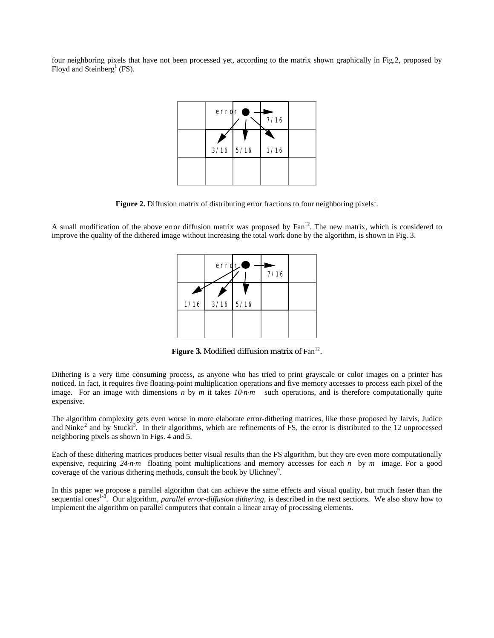four neighboring pixels that have not been processed yet, according to the matrix shown graphically in Fig.2, proposed by Floyd and Steinberg<sup>1</sup> (FS).



Figure 2. Diffusion matrix of distributing error fractions to four neighboring pixels<sup>1</sup>.

A small modification of the above error diffusion matrix was proposed by Fan<sup>12</sup>. The new matrix, which is considered to improve the quality of the dithered image without increasing the total work done by the algorithm, is shown in Fig. 3.



**Figure 3.** Modified diffusion matrix of Fan<sup>12</sup>.

Dithering is a very time consuming process, as anyone who has tried to print grayscale or color images on a printer has noticed. In fact, it requires five floating-point multiplication operations and five memory accesses to process each pixel of the image. For an image with dimensions *n* by *m* it takes  $10 \cdot n \cdot m$  such operations, and is therefore computationally quite expensive.

The algorithm complexity gets even worse in more elaborate error-dithering matrices, like those proposed by Jarvis, Judice and Ninke<sup>2</sup> and by Stucki<sup>3</sup>. In their algorithms, which are refinements of FS, the error is distributed to the 12 unprocessed neighboring pixels as shown in Figs. 4 and 5.

Each of these dithering matrices produces better visual results than the FS algorithm, but they are even more computationally expensive, requiring *24·n·m* floating point multiplications and memory accesses for each *n* by *m* image. For a good coverage of the various dithering methods, consult the book by Ulichney<sup>9</sup>.

In this paper we propose a parallel algorithm that can achieve the same effects and visual quality, but much faster than the sequential ones<sup>1-3</sup>. Our algorithm, *parallel error-diffusion dithering*, is described in the next sections. We also show how to implement the algorithm on parallel computers that contain a linear array of processing elements.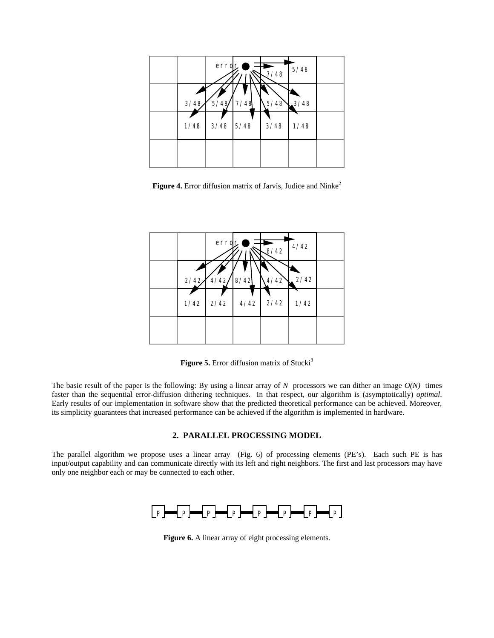

**Figure 4.** Error diffusion matrix of Jarvis, Judice and Ninke<sup>2</sup>



**Figure 5.** Error diffusion matrix of Stucki<sup>3</sup>

The basic result of the paper is the following: By using a linear array of  $N$  processors we can dither an image  $O(N)$  times faster than the sequential error-diffusion dithering techniques. In that respect, our algorithm is (asymptotically) *optimal*. Early results of our implementation in software show that the predicted theoretical performance can be achieved. Moreover, its simplicity guarantees that increased performance can be achieved if the algorithm is implemented in hardware.

## **2. PARALLEL PROCESSING MODEL**

The parallel algorithm we propose uses a linear array (Fig. 6) of processing elements (PE's). Each such PE is has input/output capability and can communicate directly with its left and right neighbors. The first and last processors may have only one neighbor each or may be connected to each other.



**Figure 6.** A linear array of eight processing elements.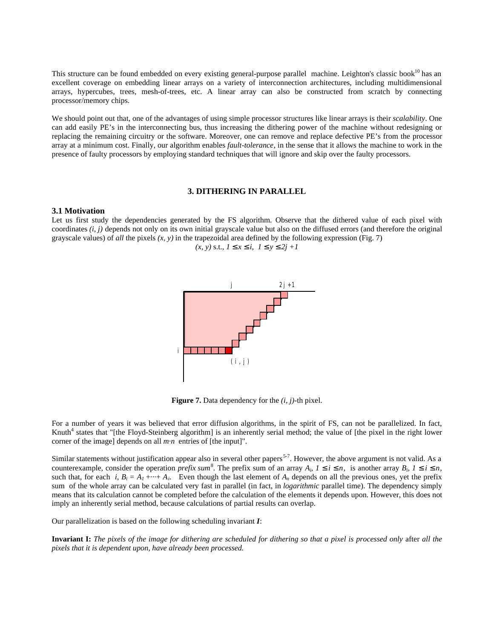This structure can be found embedded on every existing general-purpose parallel machine. Leighton's classic book<sup>10</sup> has an excellent coverage on embedding linear arrays on a variety of interconnection architectures, including multidimensional arrays, hypercubes, trees, mesh-of-trees, etc. A linear array can also be constructed from scratch by connecting processor/memory chips.

We should point out that, one of the advantages of using simple processor structures like linear arrays is their *scalability*. One can add easily PE's in the interconnecting bus, thus increasing the dithering power of the machine without redesigning or replacing the remaining circuitry or the software. Moreover, one can remove and replace defective PE's from the processor array at a minimum cost. Finally, our algorithm enables *fault-tolerance*, in the sense that it allows the machine to work in the presence of faulty processors by employing standard techniques that will ignore and skip over the faulty processors.

## **3. DITHERING IN PARALLEL**

#### **3.1 Motivation**

Let us first study the dependencies generated by the FS algorithm. Observe that the dithered value of each pixel with coordinates *(i, j)* depends not only on its own initial grayscale value but also on the diffused errors (and therefore the original grayscale values) of *all* the pixels  $(x, y)$  in the trapezoidal area defined by the following expression (Fig. 7)

$$
(x, y)
$$
 s.t.,  $1 \ x \ i$ ,  $1 \ y \ 2j + 1$ 



**Figure 7.** Data dependency for the *(i, j)*-th pixel.

For a number of years it was believed that error diffusion algorithms, in the spirit of FS, can not be parallelized. In fact, Knuth<sup>4</sup> states that "[the Floyd-Steinberg algorithm] is an inherently serial method; the value of [the pixel in the right lower corner of the image] depends on all *m·n* entries of [the input]".

Similar statements without justification appear also in several other papers<sup>5-7</sup>. However, the above argument is not valid. As a counterexample, consider the operation *prefix sum*<sup>8</sup>. The prefix sum of an array  $A_i$ ,  $I$  *i n*, is another array  $B_i$ ,  $I$  *i n*, such that, for each *i*,  $B_i = A_1 + \cdots + A_i$ . Even though the last element of  $A_n$  depends on all the previous ones, yet the prefix sum of the whole array can be calculated very fast in parallel (in fact, in *logarithmic* parallel time). The dependency simply means that its calculation cannot be completed before the calculation of the elements it depends upon. However, this does not imply an inherently serial method, because calculations of partial results can overlap.

Our parallelization is based on the following scheduling invariant *I*:

**Invariant I:** *The pixels of the image for dithering are scheduled for dithering so that a pixel is processed only* after *all the pixels that it is dependent upon, have already been processed.*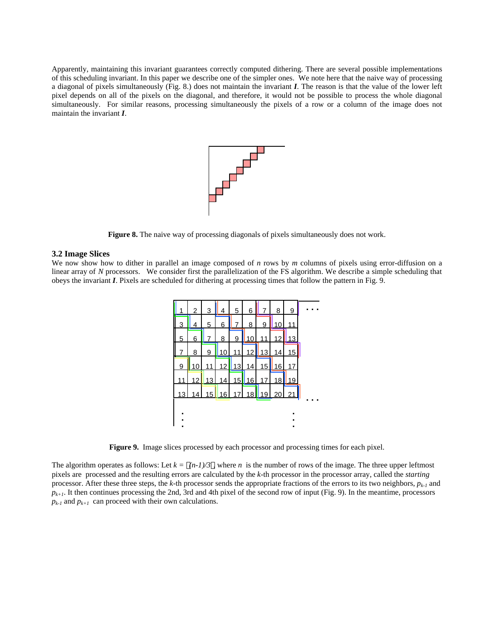Apparently, maintaining this invariant guarantees correctly computed dithering. There are several possible implementations of this scheduling invariant. In this paper we describe one of the simpler ones. We note here that the naive way of processing a diagonal of pixels simultaneously (Fig. 8.) does not maintain the invariant *I*. The reason is that the value of the lower left pixel depends on all of the pixels on the diagonal, and therefore, it would not be possible to process the whole diagonal simultaneously. For similar reasons, processing simultaneously the pixels of a row or a column of the image does not maintain the invariant *I*.



Figure 8. The naive way of processing diagonals of pixels simultaneously does not work.

#### **3.2 Image Slices**

We now show how to dither in parallel an image composed of *n* rows by *m* columns of pixels using error-diffusion on a linear array of *N* processors. We consider first the parallelization of the FS algorithm. We describe a simple scheduling that obeys the invariant *I*. Pixels are scheduled for dithering at processing times that follow the pattern in Fig. 9.



**Figure 9.** Image slices processed by each processor and processing times for each pixel.

The algorithm operates as follows: Let  $k = (n-1)/3$ , where *n* is the number of rows of the image. The three upper leftmost pixels are processed and the resulting errors are calculated by the *k*-th processor in the processor array, called the *starting* processor. After these three steps, the *k*-th processor sends the appropriate fractions of the errors to its two neighbors,  $p_{k-1}$  and  $p_{k+1}$ . It then continues processing the 2nd, 3rd and 4th pixel of the second row of input (Fig. 9). In the meantime, processors  $p_{k-1}$  and  $p_{k+1}$  can proceed with their own calculations.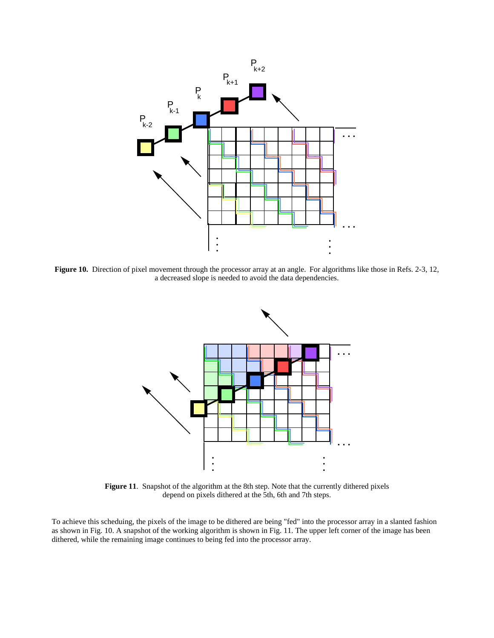

**Figure 10.** Direction of pixel movement through the processor array at an angle. For algorithms like those in Refs. 2-3, 12, a decreased slope is needed to avoid the data dependencies.



**Figure 11**. Snapshot of the algorithm at the 8th step. Note that the currently dithered pixels depend on pixels dithered at the 5th, 6th and 7th steps.

To achieve this scheduing, the pixels of the image to be dithered are being "fed" into the processor array in a slanted fashion as shown in Fig. 10. A snapshot of the working algorithm is shown in Fig. 11. The upper left corner of the image has been dithered, while the remaining image continues to being fed into the processor array.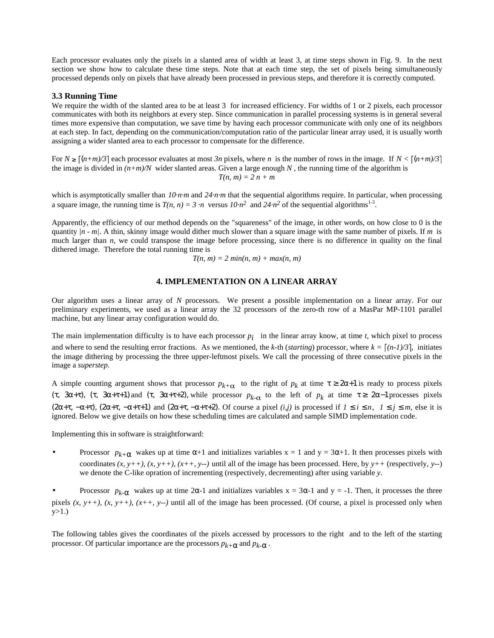Each processor evaluates only the pixels in a slanted area of width at least 3, at time steps shown in Fig. 9. In the next section we show how to calculate these time steps. Note that at each time step, the set of pixels being simultaneously processed depends only on pixels that have already been processed in previous steps, and therefore it is correctly computed.

#### **3.3 Running Time**

We require the width of the slanted area to be at least 3 for increased efficiency. For widths of 1 or 2 pixels, each processor communicates with both its neighbors at every step. Since communication in parallel processing systems is in general several times more expensive than computation, we save time by having each processor communicate with only one of its neighbors at each step. In fact, depending on the communication/computation ratio of the particular linear array used, it is usually worth assigning a wider slanted area to each processor to compensate for the difference.

For  $N \ge [(n+m)/3]$  each processor evaluates at most  $3n$  pixels, where *n* is the number of rows in the image. If  $N < [(n+m)/3]$ the image is divided in  $(n+m)/N$  wider slanted areas. Given a large enough  $N$ , the running time of the algorithm is *T(n, m) = 2 n + m*

which is asymptotically smaller than  $10 \cdot n \cdot m$  and  $24 \cdot n \cdot m$  that the sequential algorithms require. In particular, when processing a square image, the running time is  $T(n, n) = 3 \cdot n$  versus  $10 \cdot n^2$  and  $24 \cdot n^2$  of the sequential algorithms<sup>1-3</sup>.

Apparently, the efficiency of our method depends on the "squareness" of the image, in other words, on how close to 0 is the quantity *|n - m|*. A thin, skinny image would dither much slower than a square image with the same number of pixels. If *m* is much larger than *n*, we could transpose the image before processing, since there is no difference in quality on the final dithered image. Therefore the total running time is

 $T(n, m) = 2 min(n, m) + max(n, m)$ 

# **4. IMPLEMENTATION ON A LINEAR ARRAY**

Our algorithm uses a linear array of *N* processors. We present a possible implementation on a linear array. For our preliminary experiments, we used as a linear array the 32 processors of the zero-th row of a MasPar MP-1101 parallel machine, but any linear array configuration would do.

The main implementation difficulty is to have each processor  $p_i$  in the linear array know, at time  $t$ , which pixel to process and where to send the resulting error fractions. As we mentioned, the *k*-th (*starting*) processor, where  $k = \lfloor (n-1)/3 \rfloor$ , initiates the image dithering by processing the three upper-leftmost pixels. We call the processing of three consecutive pixels in the image a *superstep*.

A simple counting argument shows that processor  $p_{k+\alpha}$  to the right of  $p_k$  at time  $z + 1$  is ready to process pixels ( $t$ , 3 +  $t$ ), ( $t$ , 3 +  $t$ ) and ( $t$ , 3 +  $t$ ), while processor  $p_k$  to the left of  $p_k$  at time  $t$  2 −1 processes pixels  $(2 + (-a + b), (2 + (-a + b))$  and  $(2 + (-a + b))$ . Of course a pixel *(i,j)* is processed if *1 i n, 1 j m, else it is* ignored. Below we give details on how these scheduling times are calculated and sample SIMD implementation code.

Implementing this in software is straightforward:

Processor  $p_{k+}$  wakes up at time  $+1$  and initializes variables  $x = 1$  and  $y = 3 +1$ . It then processes pixels with coordinates *(x, y++), (x, y++), (x++, y--)* until all of the image has been processed. Here, by *y++* (respectively, *y--*) we denote the C-like opration of incrementing (respectively, decrementing) after using variable *y*.

Processor  $p_k$ - wakes up at time 2 -1 and initializes variables  $x = 3$  -1 and  $y = -1$ . Then, it processes the three pixels  $(x, y++)$ ,  $(x, y++)$ ,  $(x++)$ ,  $(x++)$ ,  $(y++)$  until all of the image has been processed. (Of course, a pixel is processed only when  $y>1.$ )

The following tables gives the coordinates of the pixels accessed by processors to the right and to the left of the starting processor. Of particular importance are the processors  $p_{k+}$  and  $p_{k-}$ .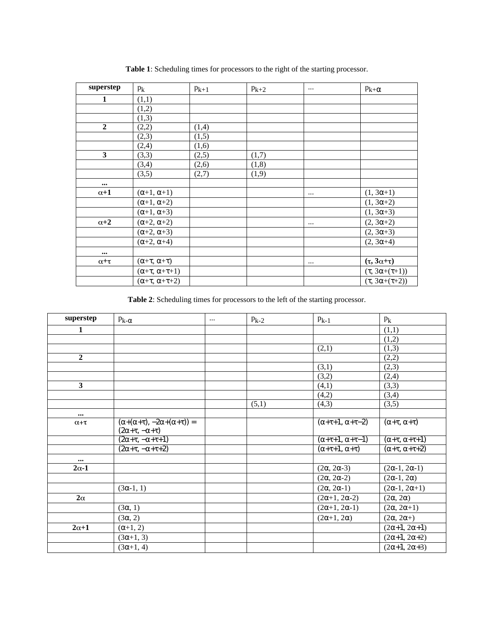| superstep               | $p_k$          | $p_{k+1}$ | $p_{k+2}$ | $\cdots$ | $p_{k+}$               |
|-------------------------|----------------|-----------|-----------|----------|------------------------|
| $\mathbf{1}$            | (1,1)          |           |           |          |                        |
|                         | (1,2)          |           |           |          |                        |
|                         | (1,3)          |           |           |          |                        |
| $\overline{2}$          | (2,2)          | (1,4)     |           |          |                        |
|                         | (2,3)          | (1,5)     |           |          |                        |
|                         | (2,4)          | (1,6)     |           |          |                        |
| $\mathbf{3}$            | (3,3)          | (2,5)     | (1,7)     |          |                        |
|                         | (3,4)          | (2,6)     | (1, 8)    |          |                        |
|                         | (3,5)          | (2,7)     | (1,9)     |          |                        |
| $\bullet\bullet\bullet$ |                |           |           |          |                        |
| $\alpha+1$              | $+1,$<br>$+1)$ |           |           | $\cdots$ | $(1, 3 +1)$            |
|                         | $+1, +2)$      |           |           |          | $(1, 3 +2)$            |
|                         | $+1, +3)$      |           |           |          | $(1, 3 +3)$            |
| $\alpha+2$              | $+2, +2)$      |           |           |          | $(2, 3 +2)$            |
|                         | $+2, +3)$      |           |           |          | $(2, 3 +3)$            |
|                         | $+2, +4)$      |           |           |          | $(2, 3 +4)$            |
| $\cdots$                |                |           |           |          |                        |
| $\alpha + \tau$         | $+$ , $+$ )    |           |           | $\cdots$ | $(\tau, 3\alpha+\tau)$ |
|                         | $(+, + +1)$    |           |           |          | $( , 3 + (+1))$        |
|                         | $(+, + +2)$    |           |           |          | $( , 3 + (+2))$        |

**Table 1**: Scheduling times for processors to the right of the starting processor.

**Table 2**: Scheduling times for processors to the left of the starting processor.

| superstep       | $p_{k-}$                               | $\cdots$ | $p_{k-2}$ | $p_{k-1}$                 | $p_k$            |
|-----------------|----------------------------------------|----------|-----------|---------------------------|------------------|
| $\mathbf{1}$    |                                        |          |           |                           | (1,1)            |
|                 |                                        |          |           |                           | (1,2)            |
|                 |                                        |          |           | (2,1)                     | (1,3)            |
| $\overline{2}$  |                                        |          |           |                           | (2,2)            |
|                 |                                        |          |           | (3,1)                     | (2,3)            |
|                 |                                        |          |           | (3,2)                     | (2,4)            |
| $\mathbf{3}$    |                                        |          |           | (4,1)                     | (3,3)            |
|                 |                                        |          |           | (4,2)                     | (3,4)            |
|                 |                                        |          | (5,1)     | (4,3)                     | (3,5)            |
| $\cdots$        |                                        |          |           |                           |                  |
| $\alpha + \tau$ | $(+ (+), -2 + (+)) =$<br>$(2 + , - +)$ |          |           | $(+ +1, + -2)$            | $(+, +)$         |
|                 | $(2 + , - + + 1)$                      |          |           | $(+ +1, + -1)$            | $(+, + +1)$      |
|                 | $(2 + , - + + 2)$                      |          |           | $+ +1, +)$                | $(+, + +2)$      |
| $\cdots$        |                                        |          |           |                           |                  |
| $2\alpha-1$     |                                        |          |           | $(2, 2 -3)$               | $(2 -1, 2 -1)$   |
|                 |                                        |          |           | $(2, 2, -2)$              | $(2 -1, 2)$      |
|                 | $(3 -1, 1)$                            |          |           | $(2, 2 -1)$               | $(2 -1, 2 +1)$   |
| $2\alpha$       |                                        |          |           | $(2 +1, 2 -2)$            | (2, 2)           |
|                 | (3, 1)                                 |          |           | $\overline{(2 +1, 2 -1)}$ | $(2, 2 +1)$      |
|                 | (3, 2)                                 |          |           | $(2 +1, 2)$               | $(2, 2 +)$       |
| $2\alpha+1$     | $+1, 2)$                               |          |           |                           | $(2 + 1, 2 + 1)$ |
|                 | $(3 +1, 3)$                            |          |           |                           | $(2 + 1, 2 + 2)$ |
|                 | $(3 +1, 4)$                            |          |           |                           | $(2 + 1, 2 + 3)$ |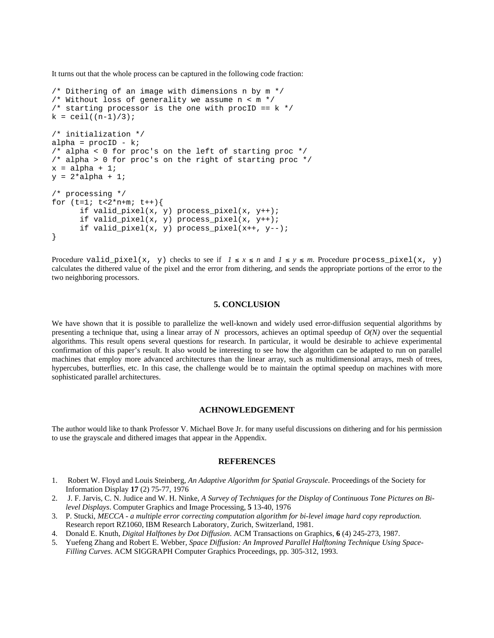It turns out that the whole process can be captured in the following code fraction:

```
/* Dithering of an image with dimensions n by m */
/* Without loss of generality we assume n < m * //* starting processor is the one with procID == k */
k = \text{ceil}((n-1)/3);/* initialization */
alpha = procID - k;
/* alpha < 0 for proc's on the left of starting proc */
/* alpha > 0 for proc's on the right of starting proc */
x = alpha + 1;y = 2*alpha + 1;/* processing */
for (t=1; t<2*n+m; t++)if valid_pixel(x, y) process_pixel(x, y++);
      if valid_pixel(x, y) process_pixel(x, y++);
      if valid_pixel(x, y) process_pixel(x++, y--);
}
```
Procedure valid\_pixel(x, y) checks to see if  $1 \le x \le n$  and  $1 \le y \le m$ . Procedure process\_pixel(x, y) calculates the dithered value of the pixel and the error from dithering, and sends the appropriate portions of the error to the two neighboring processors.

## **5. CONCLUSION**

We have shown that it is possible to parallelize the well-known and widely used error-diffusion sequential algorithms by presenting a technique that, using a linear array of  $N$  processors, achieves an optimal speedup of  $O(N)$  over the sequential algorithms. This result opens several questions for research. In particular, it would be desirable to achieve experimental confirmation of this paper's result. It also would be interesting to see how the algorithm can be adapted to run on parallel machines that employ more advanced architectures than the linear array, such as multidimensional arrays, mesh of trees, hypercubes, butterflies, etc. In this case, the challenge would be to maintain the optimal speedup on machines with more sophisticated parallel architectures.

#### **ACHNOWLEDGEMENT**

The author would like to thank Professor V. Michael Bove Jr. for many useful discussions on dithering and for his permission to use the grayscale and dithered images that appear in the Appendix.

## **REFERENCES**

- 1. Robert W. Floyd and Louis Steinberg, *An Adaptive Algorithm for Spatial Grayscale*. Proceedings of the Society for Information Display **17** (2) 75-77, 1976
- 2. J. F. Jarvis, C. N. Judice and W. H. Ninke, *A Survey of Techniques for the Display of Continuous Tone Pictures on Bilevel Displays*. Computer Graphics and Image Processing, **5** 13-40, 1976
- 3. P. Stucki, *MECCA a multiple error correcting computation algorithm for bi-level image hard copy reproduction.* Research report RZ1060, IBM Research Laboratory, Zurich, Switzerland, 1981.
- 4. Donald E. Knuth, *Digital Halftones by Dot Diffusion*. ACM Transactions on Graphics, **6** (4) 245-273, 1987.
- 5. Yuefeng Zhang and Robert E. Webber, *Space Diffusion: An Improved Parallel Halftoning Technique Using Space-Filling Curves*. ACM SIGGRAPH Computer Graphics Proceedings, pp. 305-312, 1993.